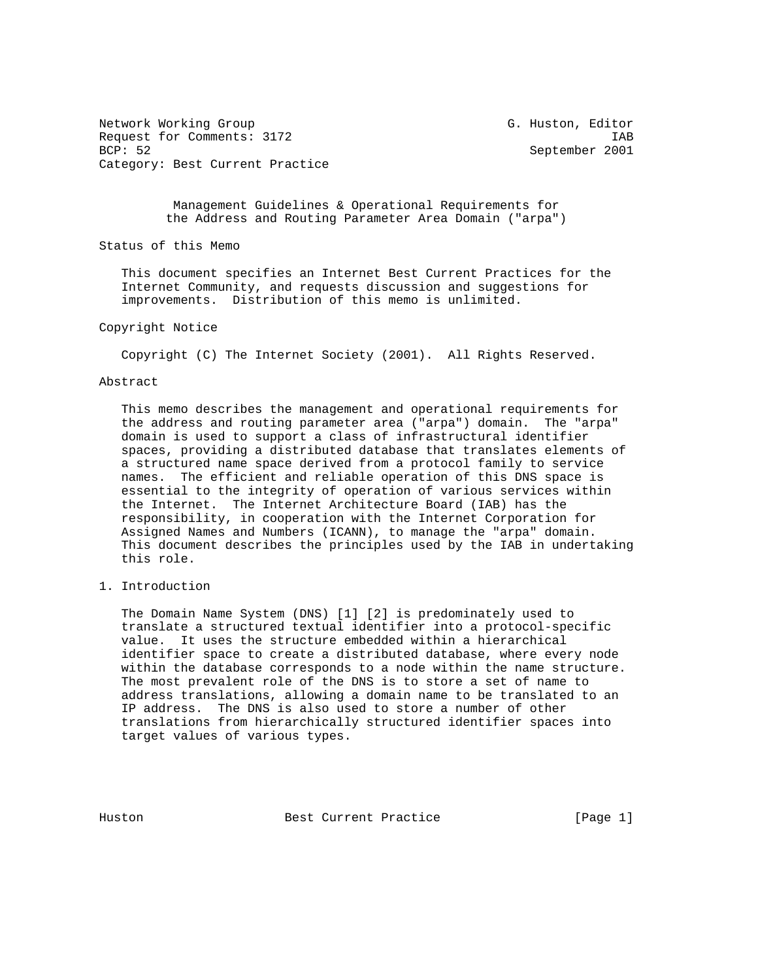Network Working Group G. Huston, Editor Request for Comments: 3172 IAB<br>BCP: 52 September 2001 Category: Best Current Practice

September 2001

 Management Guidelines & Operational Requirements for the Address and Routing Parameter Area Domain ("arpa")

Status of this Memo

 This document specifies an Internet Best Current Practices for the Internet Community, and requests discussion and suggestions for improvements. Distribution of this memo is unlimited.

# Copyright Notice

Copyright (C) The Internet Society (2001). All Rights Reserved.

# Abstract

 This memo describes the management and operational requirements for the address and routing parameter area ("arpa") domain. The "arpa" domain is used to support a class of infrastructural identifier spaces, providing a distributed database that translates elements of a structured name space derived from a protocol family to service names. The efficient and reliable operation of this DNS space is essential to the integrity of operation of various services within the Internet. The Internet Architecture Board (IAB) has the responsibility, in cooperation with the Internet Corporation for Assigned Names and Numbers (ICANN), to manage the "arpa" domain. This document describes the principles used by the IAB in undertaking this role.

1. Introduction

 The Domain Name System (DNS) [1] [2] is predominately used to translate a structured textual identifier into a protocol-specific value. It uses the structure embedded within a hierarchical identifier space to create a distributed database, where every node within the database corresponds to a node within the name structure. The most prevalent role of the DNS is to store a set of name to address translations, allowing a domain name to be translated to an IP address. The DNS is also used to store a number of other translations from hierarchically structured identifier spaces into target values of various types.

Huston **Best Current Practice** [Page 1]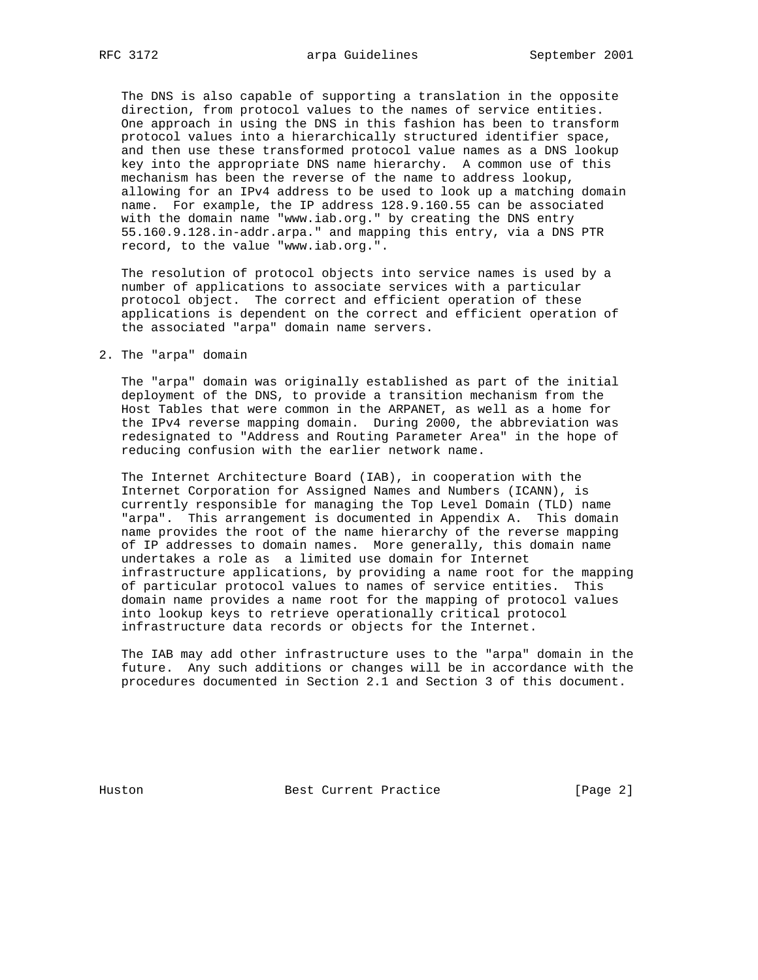The DNS is also capable of supporting a translation in the opposite direction, from protocol values to the names of service entities. One approach in using the DNS in this fashion has been to transform protocol values into a hierarchically structured identifier space, and then use these transformed protocol value names as a DNS lookup key into the appropriate DNS name hierarchy. A common use of this mechanism has been the reverse of the name to address lookup, allowing for an IPv4 address to be used to look up a matching domain name. For example, the IP address 128.9.160.55 can be associated with the domain name "www.iab.org." by creating the DNS entry 55.160.9.128.in-addr.arpa." and mapping this entry, via a DNS PTR record, to the value "www.iab.org.".

 The resolution of protocol objects into service names is used by a number of applications to associate services with a particular protocol object. The correct and efficient operation of these applications is dependent on the correct and efficient operation of the associated "arpa" domain name servers.

2. The "arpa" domain

 The "arpa" domain was originally established as part of the initial deployment of the DNS, to provide a transition mechanism from the Host Tables that were common in the ARPANET, as well as a home for the IPv4 reverse mapping domain. During 2000, the abbreviation was redesignated to "Address and Routing Parameter Area" in the hope of reducing confusion with the earlier network name.

 The Internet Architecture Board (IAB), in cooperation with the Internet Corporation for Assigned Names and Numbers (ICANN), is currently responsible for managing the Top Level Domain (TLD) name "arpa". This arrangement is documented in Appendix A. This domain name provides the root of the name hierarchy of the reverse mapping of IP addresses to domain names. More generally, this domain name undertakes a role as a limited use domain for Internet infrastructure applications, by providing a name root for the mapping of particular protocol values to names of service entities. This domain name provides a name root for the mapping of protocol values into lookup keys to retrieve operationally critical protocol infrastructure data records or objects for the Internet.

 The IAB may add other infrastructure uses to the "arpa" domain in the future. Any such additions or changes will be in accordance with the procedures documented in Section 2.1 and Section 3 of this document.

Huston Best Current Practice [Page 2]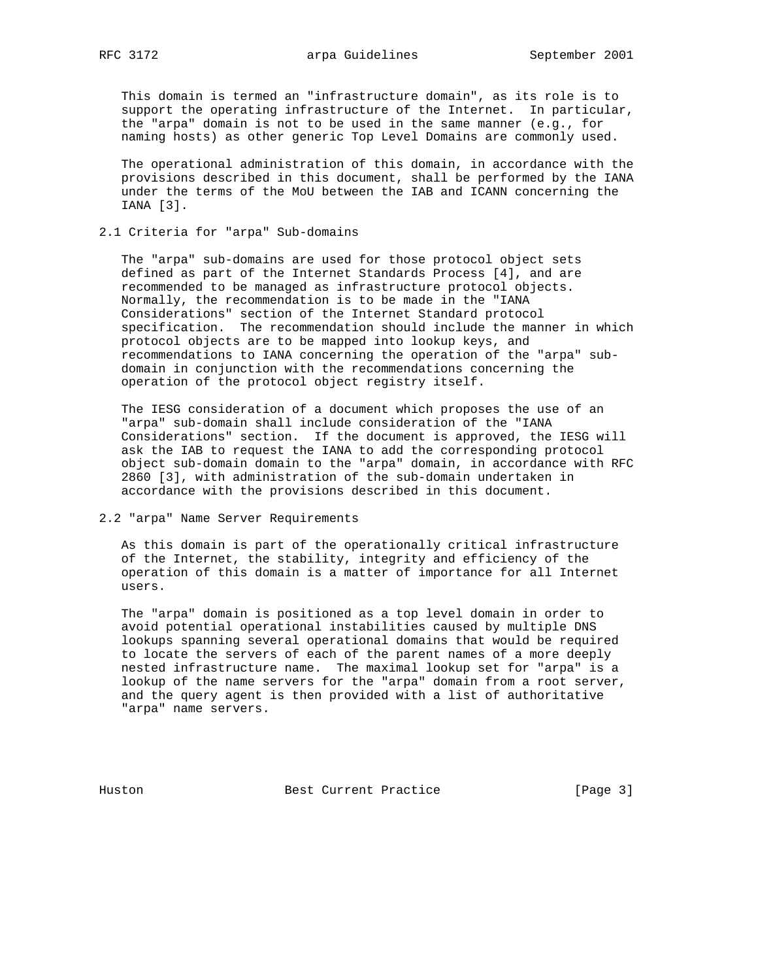This domain is termed an "infrastructure domain", as its role is to support the operating infrastructure of the Internet. In particular, the "arpa" domain is not to be used in the same manner (e.g., for naming hosts) as other generic Top Level Domains are commonly used.

 The operational administration of this domain, in accordance with the provisions described in this document, shall be performed by the IANA under the terms of the MoU between the IAB and ICANN concerning the IANA [3].

# 2.1 Criteria for "arpa" Sub-domains

 The "arpa" sub-domains are used for those protocol object sets defined as part of the Internet Standards Process [4], and are recommended to be managed as infrastructure protocol objects. Normally, the recommendation is to be made in the "IANA Considerations" section of the Internet Standard protocol specification. The recommendation should include the manner in which protocol objects are to be mapped into lookup keys, and recommendations to IANA concerning the operation of the "arpa" sub domain in conjunction with the recommendations concerning the operation of the protocol object registry itself.

 The IESG consideration of a document which proposes the use of an "arpa" sub-domain shall include consideration of the "IANA Considerations" section. If the document is approved, the IESG will ask the IAB to request the IANA to add the corresponding protocol object sub-domain domain to the "arpa" domain, in accordance with RFC 2860 [3], with administration of the sub-domain undertaken in accordance with the provisions described in this document.

### 2.2 "arpa" Name Server Requirements

 As this domain is part of the operationally critical infrastructure of the Internet, the stability, integrity and efficiency of the operation of this domain is a matter of importance for all Internet users.

 The "arpa" domain is positioned as a top level domain in order to avoid potential operational instabilities caused by multiple DNS lookups spanning several operational domains that would be required to locate the servers of each of the parent names of a more deeply nested infrastructure name. The maximal lookup set for "arpa" is a lookup of the name servers for the "arpa" domain from a root server, and the query agent is then provided with a list of authoritative "arpa" name servers.

Huston Best Current Practice [Page 3]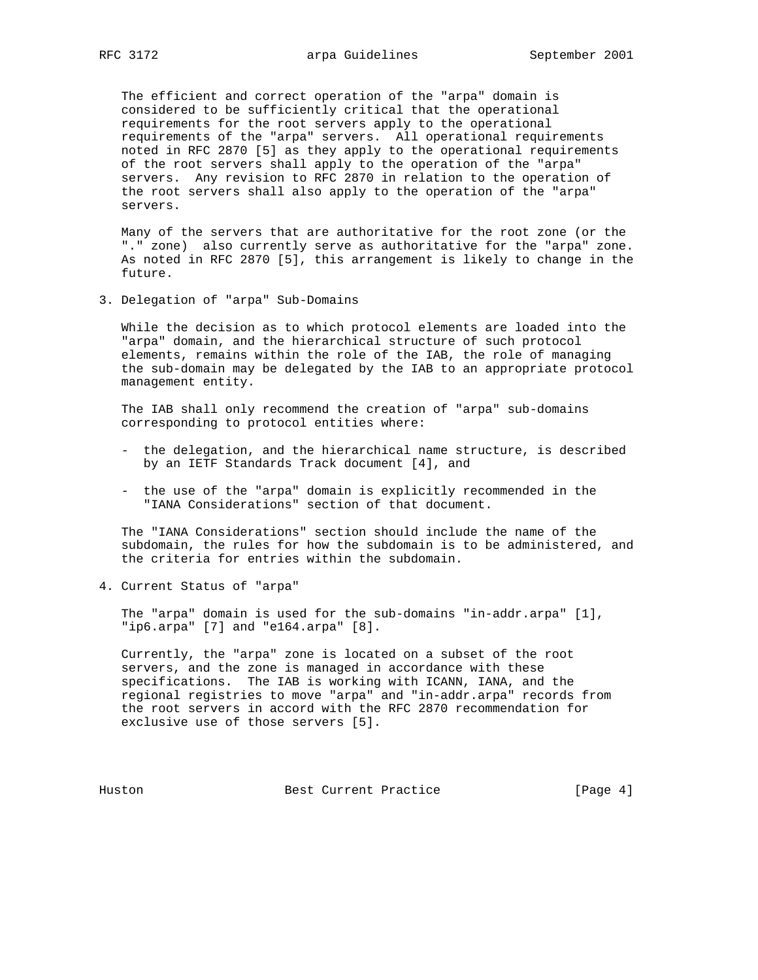The efficient and correct operation of the "arpa" domain is considered to be sufficiently critical that the operational requirements for the root servers apply to the operational requirements of the "arpa" servers. All operational requirements noted in RFC 2870 [5] as they apply to the operational requirements of the root servers shall apply to the operation of the "arpa" servers. Any revision to RFC 2870 in relation to the operation of the root servers shall also apply to the operation of the "arpa" servers.

 Many of the servers that are authoritative for the root zone (or the "." zone) also currently serve as authoritative for the "arpa" zone. As noted in RFC 2870 [5], this arrangement is likely to change in the future.

3. Delegation of "arpa" Sub-Domains

 While the decision as to which protocol elements are loaded into the "arpa" domain, and the hierarchical structure of such protocol elements, remains within the role of the IAB, the role of managing the sub-domain may be delegated by the IAB to an appropriate protocol management entity.

 The IAB shall only recommend the creation of "arpa" sub-domains corresponding to protocol entities where:

- the delegation, and the hierarchical name structure, is described by an IETF Standards Track document [4], and
- the use of the "arpa" domain is explicitly recommended in the "IANA Considerations" section of that document.

 The "IANA Considerations" section should include the name of the subdomain, the rules for how the subdomain is to be administered, and the criteria for entries within the subdomain.

4. Current Status of "arpa"

 The "arpa" domain is used for the sub-domains "in-addr.arpa" [1], "ip6.arpa" [7] and "e164.arpa" [8].

 Currently, the "arpa" zone is located on a subset of the root servers, and the zone is managed in accordance with these specifications. The IAB is working with ICANN, IANA, and the regional registries to move "arpa" and "in-addr.arpa" records from the root servers in accord with the RFC 2870 recommendation for exclusive use of those servers [5].

Huston Best Current Practice [Page 4]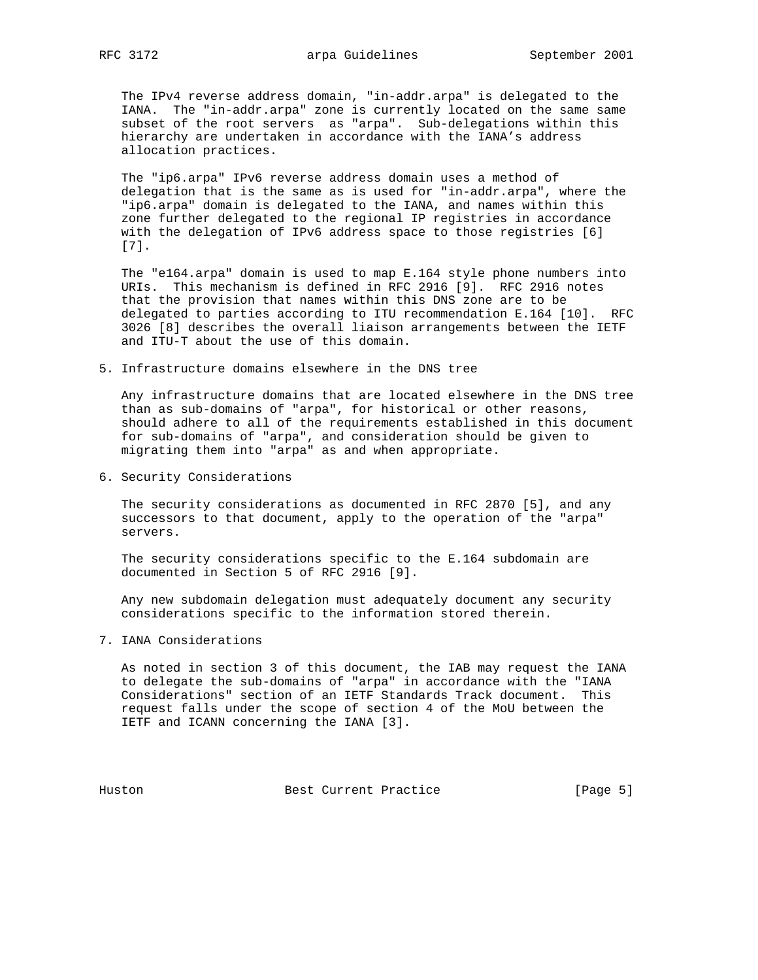The IPv4 reverse address domain, "in-addr.arpa" is delegated to the IANA. The "in-addr.arpa" zone is currently located on the same same subset of the root servers as "arpa". Sub-delegations within this hierarchy are undertaken in accordance with the IANA's address allocation practices.

 The "ip6.arpa" IPv6 reverse address domain uses a method of delegation that is the same as is used for "in-addr.arpa", where the "ip6.arpa" domain is delegated to the IANA, and names within this zone further delegated to the regional IP registries in accordance with the delegation of IPv6 address space to those registries [6] [7].

 The "e164.arpa" domain is used to map E.164 style phone numbers into URIs. This mechanism is defined in RFC 2916 [9]. RFC 2916 notes that the provision that names within this DNS zone are to be delegated to parties according to ITU recommendation E.164 [10]. RFC 3026 [8] describes the overall liaison arrangements between the IETF and ITU-T about the use of this domain.

5. Infrastructure domains elsewhere in the DNS tree

 Any infrastructure domains that are located elsewhere in the DNS tree than as sub-domains of "arpa", for historical or other reasons, should adhere to all of the requirements established in this document for sub-domains of "arpa", and consideration should be given to migrating them into "arpa" as and when appropriate.

6. Security Considerations

 The security considerations as documented in RFC 2870 [5], and any successors to that document, apply to the operation of the "arpa" servers.

 The security considerations specific to the E.164 subdomain are documented in Section 5 of RFC 2916 [9].

 Any new subdomain delegation must adequately document any security considerations specific to the information stored therein.

7. IANA Considerations

 As noted in section 3 of this document, the IAB may request the IANA to delegate the sub-domains of "arpa" in accordance with the "IANA Considerations" section of an IETF Standards Track document. This request falls under the scope of section 4 of the MoU between the IETF and ICANN concerning the IANA [3].

Huston Best Current Practice [Page 5]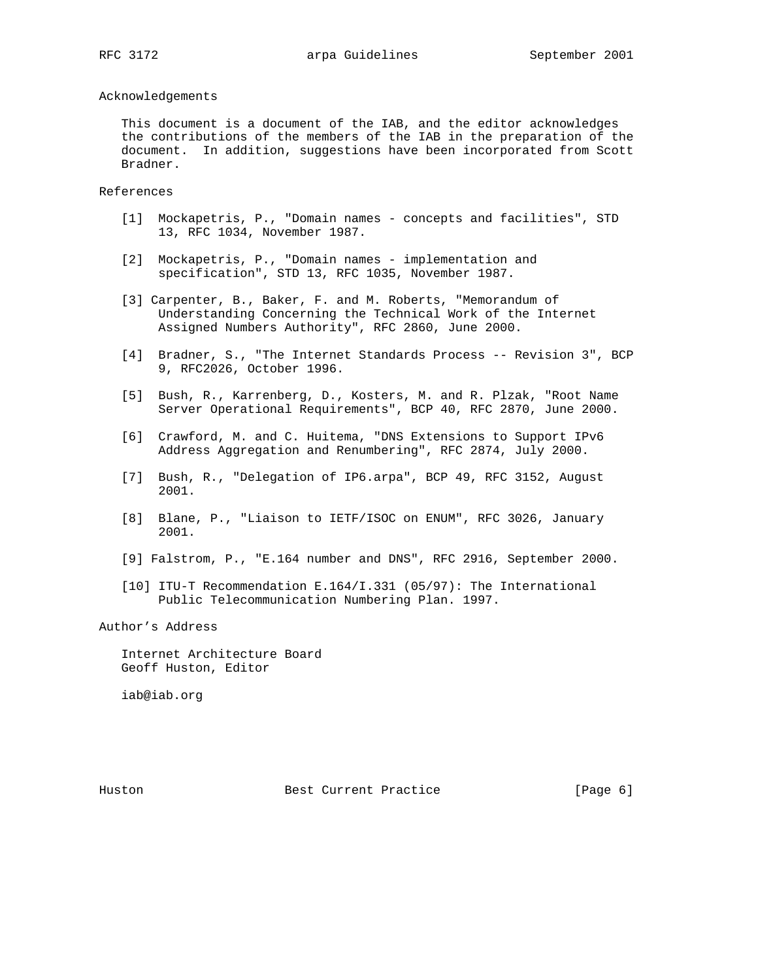# Acknowledgements

 This document is a document of the IAB, and the editor acknowledges the contributions of the members of the IAB in the preparation of the document. In addition, suggestions have been incorporated from Scott Bradner.

#### References

- [1] Mockapetris, P., "Domain names concepts and facilities", STD 13, RFC 1034, November 1987.
- [2] Mockapetris, P., "Domain names implementation and specification", STD 13, RFC 1035, November 1987.
- [3] Carpenter, B., Baker, F. and M. Roberts, "Memorandum of Understanding Concerning the Technical Work of the Internet Assigned Numbers Authority", RFC 2860, June 2000.
- [4] Bradner, S., "The Internet Standards Process -- Revision 3", BCP 9, RFC2026, October 1996.
- [5] Bush, R., Karrenberg, D., Kosters, M. and R. Plzak, "Root Name Server Operational Requirements", BCP 40, RFC 2870, June 2000.
- [6] Crawford, M. and C. Huitema, "DNS Extensions to Support IPv6 Address Aggregation and Renumbering", RFC 2874, July 2000.
- [7] Bush, R., "Delegation of IP6.arpa", BCP 49, RFC 3152, August 2001.
- [8] Blane, P., "Liaison to IETF/ISOC on ENUM", RFC 3026, January 2001.
- [9] Falstrom, P., "E.164 number and DNS", RFC 2916, September 2000.
- [10] ITU-T Recommendation E.164/I.331 (05/97): The International Public Telecommunication Numbering Plan. 1997.

Author's Address

 Internet Architecture Board Geoff Huston, Editor

iab@iab.org

Huston Best Current Practice [Page 6]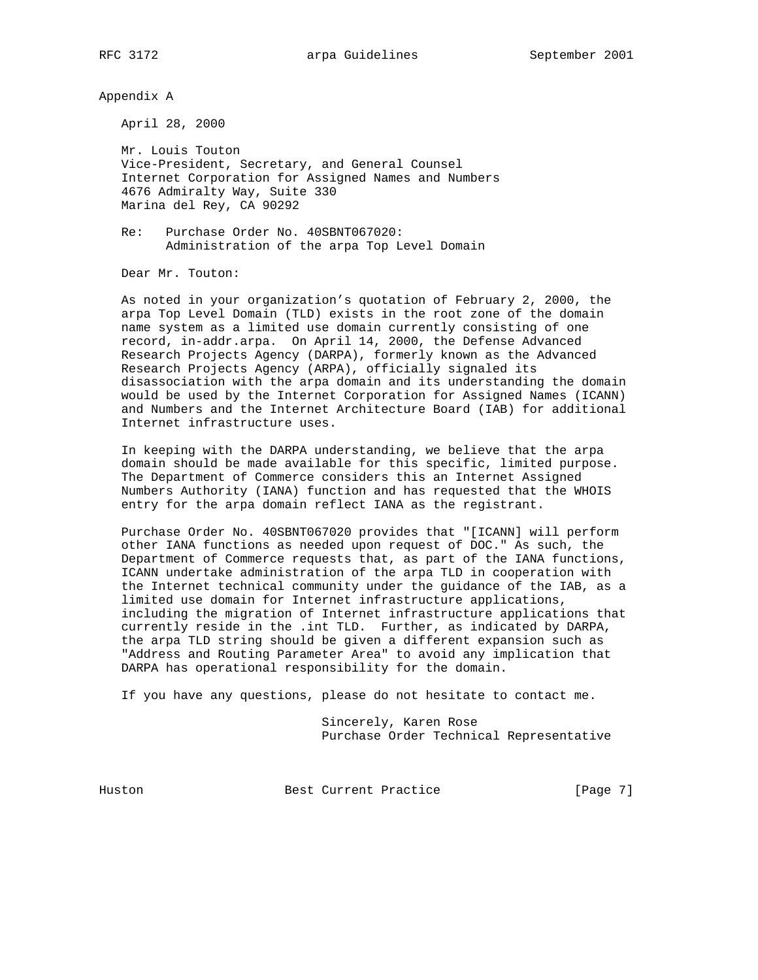Appendix A

April 28, 2000

 Mr. Louis Touton Vice-President, Secretary, and General Counsel Internet Corporation for Assigned Names and Numbers 4676 Admiralty Way, Suite 330 Marina del Rey, CA 90292

 Re: Purchase Order No. 40SBNT067020: Administration of the arpa Top Level Domain

Dear Mr. Touton:

 As noted in your organization's quotation of February 2, 2000, the arpa Top Level Domain (TLD) exists in the root zone of the domain name system as a limited use domain currently consisting of one record, in-addr.arpa. On April 14, 2000, the Defense Advanced Research Projects Agency (DARPA), formerly known as the Advanced Research Projects Agency (ARPA), officially signaled its disassociation with the arpa domain and its understanding the domain would be used by the Internet Corporation for Assigned Names (ICANN) and Numbers and the Internet Architecture Board (IAB) for additional Internet infrastructure uses.

 In keeping with the DARPA understanding, we believe that the arpa domain should be made available for this specific, limited purpose. The Department of Commerce considers this an Internet Assigned Numbers Authority (IANA) function and has requested that the WHOIS entry for the arpa domain reflect IANA as the registrant.

 Purchase Order No. 40SBNT067020 provides that "[ICANN] will perform other IANA functions as needed upon request of DOC." As such, the Department of Commerce requests that, as part of the IANA functions, ICANN undertake administration of the arpa TLD in cooperation with the Internet technical community under the guidance of the IAB, as a limited use domain for Internet infrastructure applications, including the migration of Internet infrastructure applications that currently reside in the .int TLD. Further, as indicated by DARPA, the arpa TLD string should be given a different expansion such as "Address and Routing Parameter Area" to avoid any implication that DARPA has operational responsibility for the domain.

If you have any questions, please do not hesitate to contact me.

 Sincerely, Karen Rose Purchase Order Technical Representative

Huston Best Current Practice [Page 7]